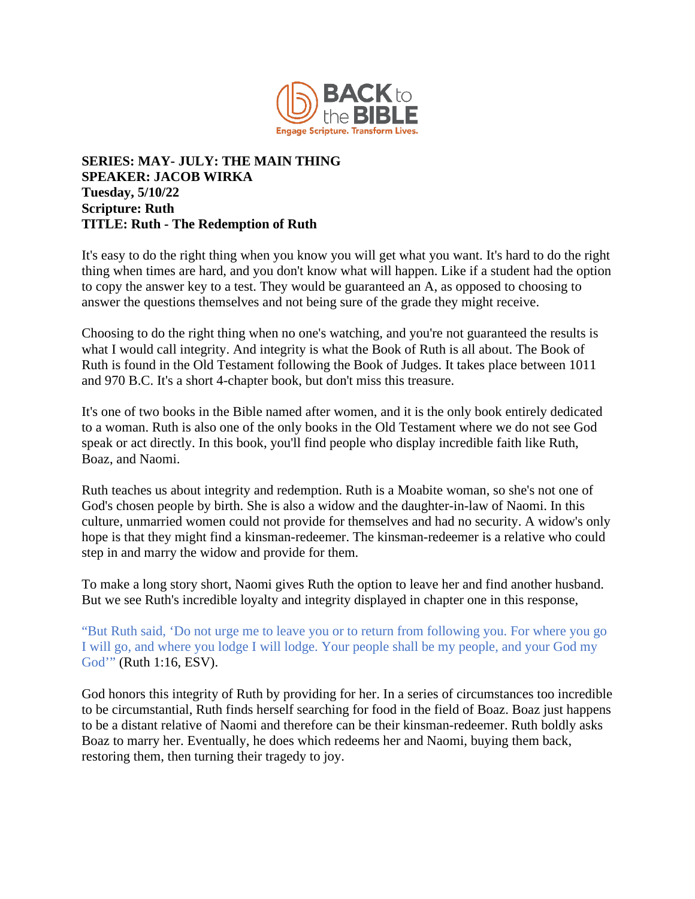

## **SERIES: MAY- JULY: THE MAIN THING SPEAKER: JACOB WIRKA Tuesday, 5/10/22 Scripture: Ruth TITLE: Ruth - The Redemption of Ruth**

It's easy to do the right thing when you know you will get what you want. It's hard to do the right thing when times are hard, and you don't know what will happen. Like if a student had the option to copy the answer key to a test. They would be guaranteed an A, as opposed to choosing to answer the questions themselves and not being sure of the grade they might receive.

Choosing to do the right thing when no one's watching, and you're not guaranteed the results is what I would call integrity. And integrity is what the Book of Ruth is all about. The Book of Ruth is found in the Old Testament following the Book of Judges. It takes place between 1011 and 970 B.C. It's a short 4-chapter book, but don't miss this treasure.

It's one of two books in the Bible named after women, and it is the only book entirely dedicated to a woman. Ruth is also one of the only books in the Old Testament where we do not see God speak or act directly. In this book, you'll find people who display incredible faith like Ruth, Boaz, and Naomi.

Ruth teaches us about integrity and redemption. Ruth is a Moabite woman, so she's not one of God's chosen people by birth. She is also a widow and the daughter-in-law of Naomi. In this culture, unmarried women could not provide for themselves and had no security. A widow's only hope is that they might find a kinsman-redeemer. The kinsman-redeemer is a relative who could step in and marry the widow and provide for them.

To make a long story short, Naomi gives Ruth the option to leave her and find another husband. But we see Ruth's incredible loyalty and integrity displayed in chapter one in this response,

"But Ruth said, 'Do not urge me to leave you or to return from following you. For where you go I will go, and where you lodge I will lodge. Your people shall be my people, and your God my God'" (Ruth 1:16, ESV).

God honors this integrity of Ruth by providing for her. In a series of circumstances too incredible to be circumstantial, Ruth finds herself searching for food in the field of Boaz. Boaz just happens to be a distant relative of Naomi and therefore can be their kinsman-redeemer. Ruth boldly asks Boaz to marry her. Eventually, he does which redeems her and Naomi, buying them back, restoring them, then turning their tragedy to joy.